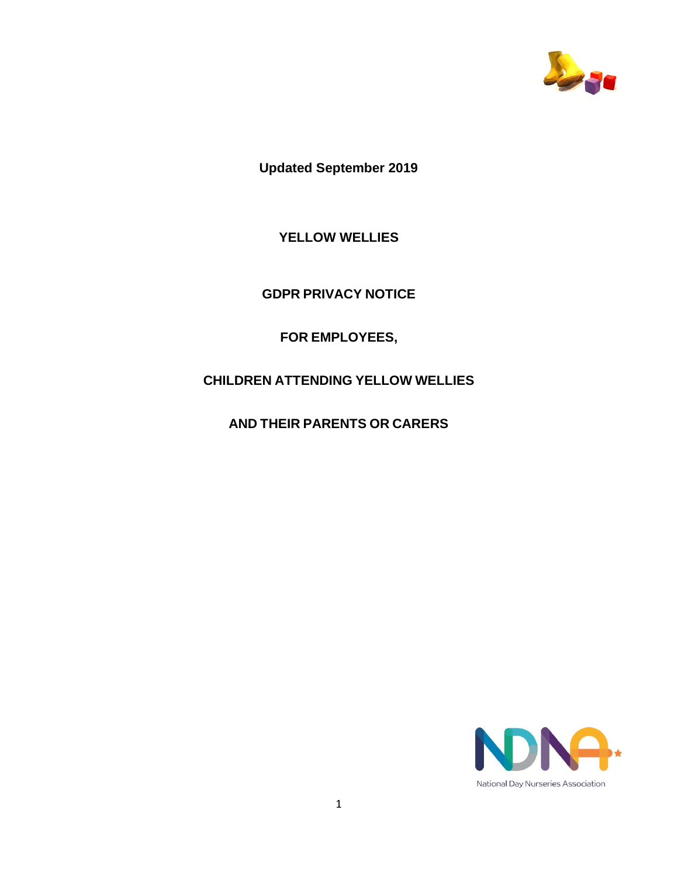

**Updated September 2019**

**YELLOW WELLIES**

**GDPR PRIVACY NOTICE**

**FOR EMPLOYEES,**

**CHILDREN ATTENDING YELLOW WELLIES**

**AND THEIR PARENTS OR CARERS**

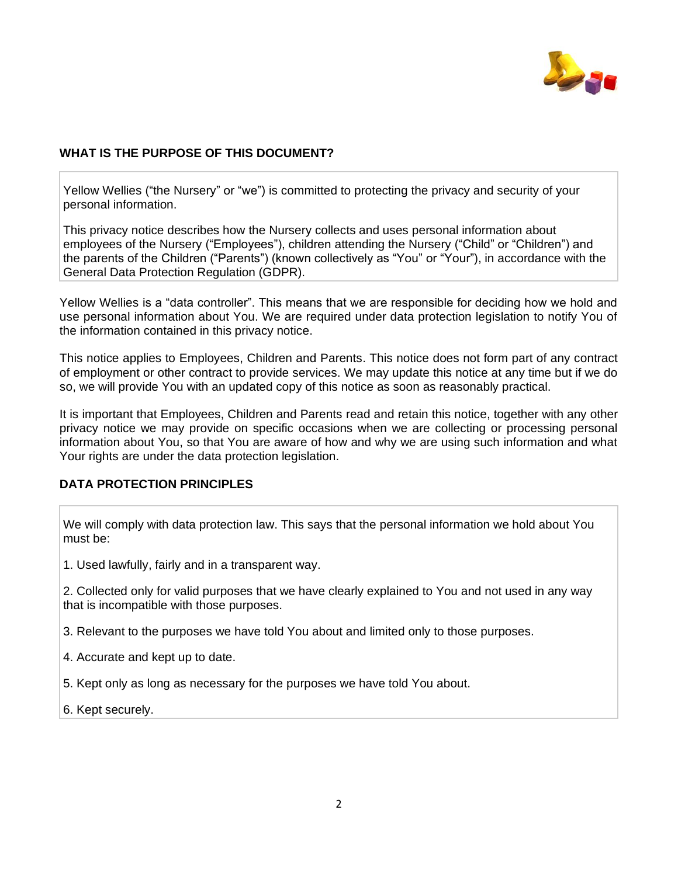

## **WHAT IS THE PURPOSE OF THIS DOCUMENT?**

Yellow Wellies ("the Nursery" or "we") is committed to protecting the privacy and security of your personal information.

This privacy notice describes how the Nursery collects and uses personal information about employees of the Nursery ("Employees"), children attending the Nursery ("Child" or "Children") and the parents of the Children ("Parents") (known collectively as "You" or "Your"), in accordance with the General Data Protection Regulation (GDPR).

Yellow Wellies is a "data controller". This means that we are responsible for deciding how we hold and use personal information about You. We are required under data protection legislation to notify You of the information contained in this privacy notice.

This notice applies to Employees, Children and Parents. This notice does not form part of any contract of employment or other contract to provide services. We may update this notice at any time but if we do so, we will provide You with an updated copy of this notice as soon as reasonably practical.

It is important that Employees, Children and Parents read and retain this notice, together with any other privacy notice we may provide on specific occasions when we are collecting or processing personal information about You, so that You are aware of how and why we are using such information and what Your rights are under the data protection legislation.

### **DATA PROTECTION PRINCIPLES**

We will comply with data protection law. This says that the personal information we hold about You must be:

1. Used lawfully, fairly and in a transparent way.

2. Collected only for valid purposes that we have clearly explained to You and not used in any way that is incompatible with those purposes.

3. Relevant to the purposes we have told You about and limited only to those purposes.

- 4. Accurate and kept up to date.
- 5. Kept only as long as necessary for the purposes we have told You about.
- 6. Kept securely.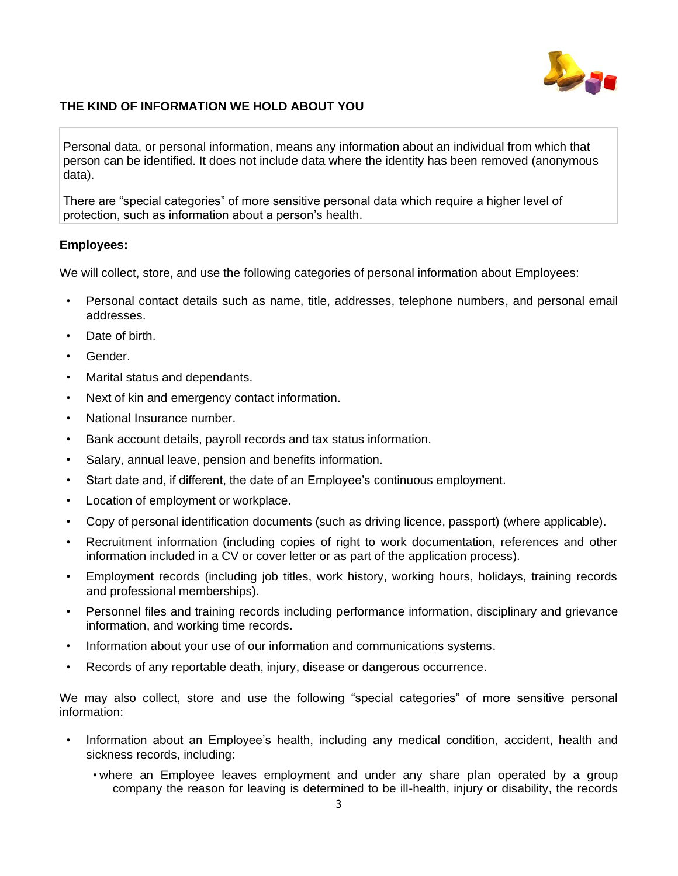

## **THE KIND OF INFORMATION WE HOLD ABOUT YOU**

Personal data, or personal information, means any information about an individual from which that person can be identified. It does not include data where the identity has been removed (anonymous data).

There are "special categories" of more sensitive personal data which require a higher level of protection, such as information about a person's health.

### **Employees:**

We will collect, store, and use the following categories of personal information about Employees:

- Personal contact details such as name, title, addresses, telephone numbers, and personal email addresses.
- Date of birth.
- Gender.
- Marital status and dependants.
- Next of kin and emergency contact information.
- National Insurance number.
- Bank account details, payroll records and tax status information.
- Salary, annual leave, pension and benefits information.
- Start date and, if different, the date of an Employee's continuous employment.
- Location of employment or workplace.
- Copy of personal identification documents (such as driving licence, passport) (where applicable).
- Recruitment information (including copies of right to work documentation, references and other information included in a CV or cover letter or as part of the application process).
- Employment records (including job titles, work history, working hours, holidays, training records and professional memberships).
- Personnel files and training records including performance information, disciplinary and grievance information, and working time records.
- Information about your use of our information and communications systems.
- Records of any reportable death, injury, disease or dangerous occurrence.

We may also collect, store and use the following "special categories" of more sensitive personal information:

- Information about an Employee's health, including any medical condition, accident, health and sickness records, including:
	- where an Employee leaves employment and under any share plan operated by a group company the reason for leaving is determined to be ill-health, injury or disability, the records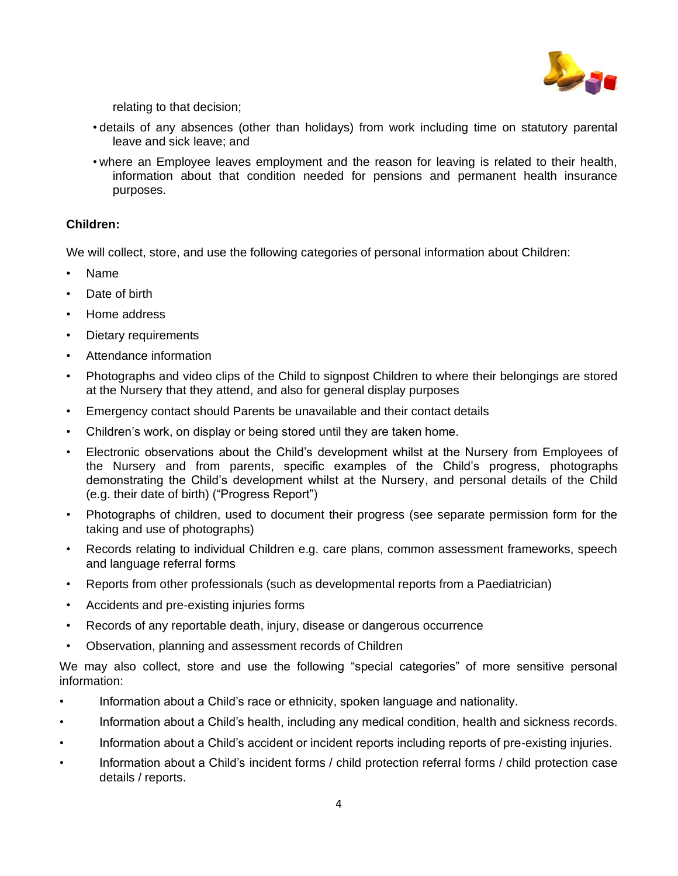

relating to that decision;

- details of any absences (other than holidays) from work including time on statutory parental leave and sick leave; and
- where an Employee leaves employment and the reason for leaving is related to their health, information about that condition needed for pensions and permanent health insurance purposes.

## **Children:**

We will collect, store, and use the following categories of personal information about Children:

- Name
- Date of birth
- Home address
- Dietary requirements
- Attendance information
- Photographs and video clips of the Child to signpost Children to where their belongings are stored at the Nursery that they attend, and also for general display purposes
- Emergency contact should Parents be unavailable and their contact details
- Children's work, on display or being stored until they are taken home.
- Electronic observations about the Child's development whilst at the Nursery from Employees of the Nursery and from parents, specific examples of the Child's progress, photographs demonstrating the Child's development whilst at the Nursery, and personal details of the Child (e.g. their date of birth) ("Progress Report")
- Photographs of children, used to document their progress (see separate permission form for the taking and use of photographs)
- Records relating to individual Children e.g. care plans, common assessment frameworks, speech and language referral forms
- Reports from other professionals (such as developmental reports from a Paediatrician)
- Accidents and pre-existing injuries forms
- Records of any reportable death, injury, disease or dangerous occurrence
- Observation, planning and assessment records of Children

We may also collect, store and use the following "special categories" of more sensitive personal information:

- Information about a Child's race or ethnicity, spoken language and nationality.
- Information about a Child's health, including any medical condition, health and sickness records.
- Information about a Child's accident or incident reports including reports of pre-existing injuries.
- Information about a Child's incident forms / child protection referral forms / child protection case details / reports.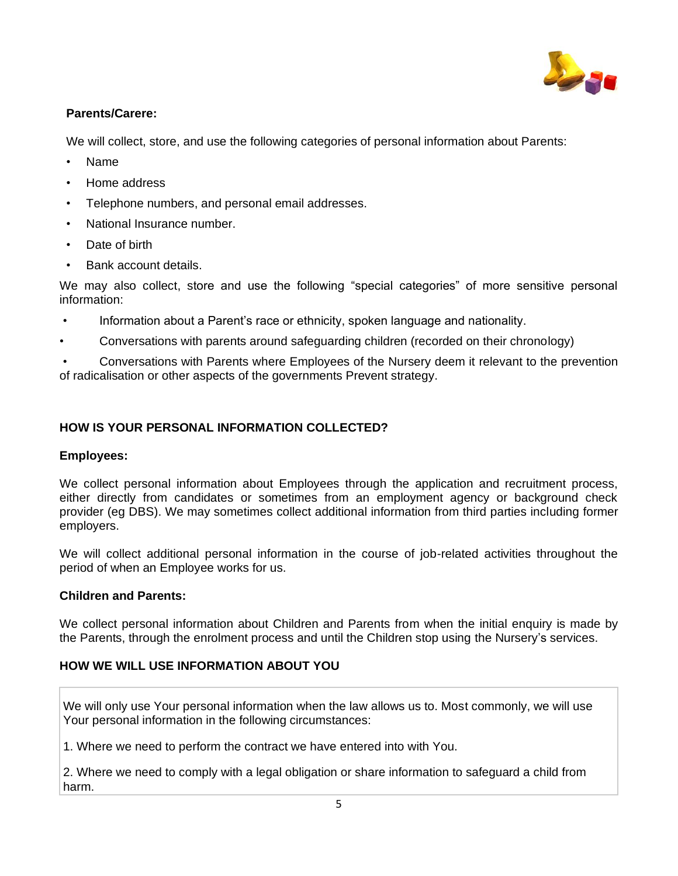

## **Parents/Carere:**

We will collect, store, and use the following categories of personal information about Parents:

- Name
- Home address
- Telephone numbers, and personal email addresses.
- National Insurance number.
- Date of birth
- Bank account details.

We may also collect, store and use the following "special categories" of more sensitive personal information:

- Information about a Parent's race or ethnicity, spoken language and nationality.
- Conversations with parents around safeguarding children (recorded on their chronology)

• Conversations with Parents where Employees of the Nursery deem it relevant to the prevention of radicalisation or other aspects of the governments Prevent strategy.

## **HOW IS YOUR PERSONAL INFORMATION COLLECTED?**

## **Employees:**

We collect personal information about Employees through the application and recruitment process, either directly from candidates or sometimes from an employment agency or background check provider (eg DBS). We may sometimes collect additional information from third parties including former employers.

We will collect additional personal information in the course of job-related activities throughout the period of when an Employee works for us.

## **Children and Parents:**

We collect personal information about Children and Parents from when the initial enquiry is made by the Parents, through the enrolment process and until the Children stop using the Nursery's services.

# **HOW WE WILL USE INFORMATION ABOUT YOU**

We will only use Your personal information when the law allows us to. Most commonly, we will use Your personal information in the following circumstances:

1. Where we need to perform the contract we have entered into with You.

2. Where we need to comply with a legal obligation or share information to safeguard a child from harm.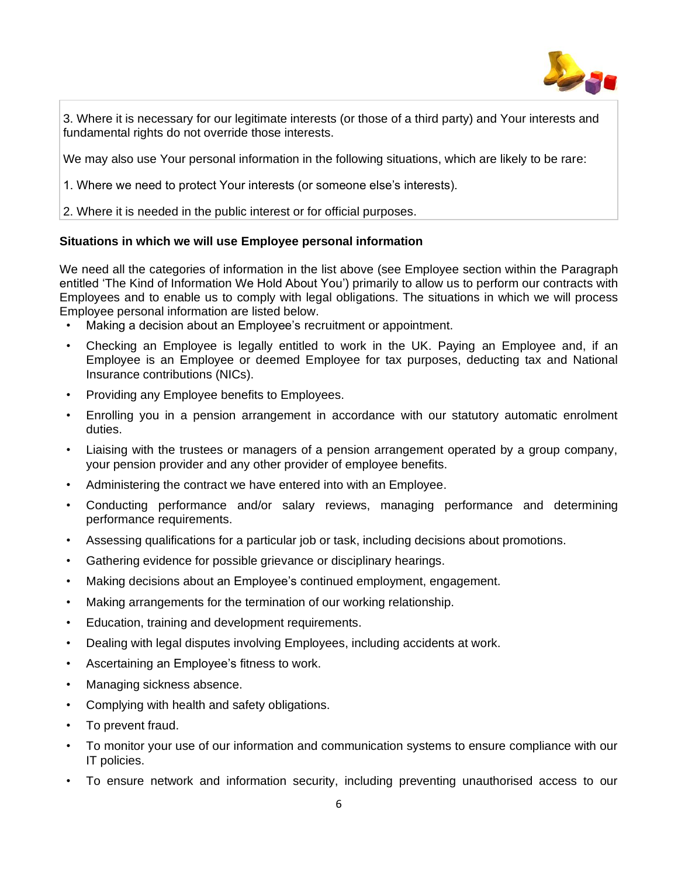

3. Where it is necessary for our legitimate interests (or those of a third party) and Your interests and fundamental rights do not override those interests.

We may also use Your personal information in the following situations, which are likely to be rare:

1. Where we need to protect Your interests (or someone else's interests).

2. Where it is needed in the public interest or for official purposes.

## **Situations in which we will use Employee personal information**

We need all the categories of information in the list above (see Employee section within the Paragraph entitled 'The Kind of Information We Hold About You') primarily to allow us to perform our contracts with Employees and to enable us to comply with legal obligations. The situations in which we will process Employee personal information are listed below.

- Making a decision about an Employee's recruitment or appointment.
- Checking an Employee is legally entitled to work in the UK. Paying an Employee and, if an Employee is an Employee or deemed Employee for tax purposes, deducting tax and National Insurance contributions (NICs).
- Providing any Employee benefits to Employees.
- Enrolling you in a pension arrangement in accordance with our statutory automatic enrolment duties.
- Liaising with the trustees or managers of a pension arrangement operated by a group company, your pension provider and any other provider of employee benefits.
- Administering the contract we have entered into with an Employee.
- Conducting performance and/or salary reviews, managing performance and determining performance requirements.
- Assessing qualifications for a particular job or task, including decisions about promotions.
- Gathering evidence for possible grievance or disciplinary hearings.
- Making decisions about an Employee's continued employment, engagement.
- Making arrangements for the termination of our working relationship.
- Education, training and development requirements.
- Dealing with legal disputes involving Employees, including accidents at work.
- Ascertaining an Employee's fitness to work.
- Managing sickness absence.
- Complying with health and safety obligations.
- To prevent fraud.
- To monitor your use of our information and communication systems to ensure compliance with our IT policies.
- To ensure network and information security, including preventing unauthorised access to our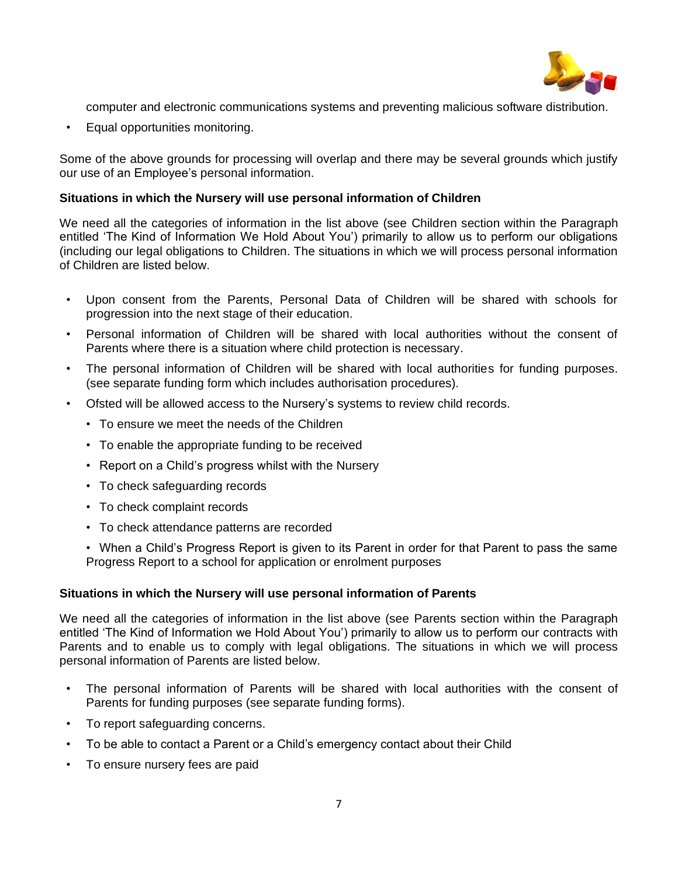

computer and electronic communications systems and preventing malicious software distribution.

• Equal opportunities monitoring.

Some of the above grounds for processing will overlap and there may be several grounds which justify our use of an Employee's personal information.

## **Situations in which the Nursery will use personal information of Children**

We need all the categories of information in the list above (see Children section within the Paragraph entitled 'The Kind of Information We Hold About You') primarily to allow us to perform our obligations (including our legal obligations to Children. The situations in which we will process personal information of Children are listed below.

- Upon consent from the Parents, Personal Data of Children will be shared with schools for progression into the next stage of their education.
- Personal information of Children will be shared with local authorities without the consent of Parents where there is a situation where child protection is necessary.
- The personal information of Children will be shared with local authorities for funding purposes. (see separate funding form which includes authorisation procedures).
- Ofsted will be allowed access to the Nursery's systems to review child records.
	- To ensure we meet the needs of the Children
	- To enable the appropriate funding to be received
	- Report on a Child's progress whilst with the Nursery
	- To check safeguarding records
	- To check complaint records
	- To check attendance patterns are recorded

• When a Child's Progress Report is given to its Parent in order for that Parent to pass the same Progress Report to a school for application or enrolment purposes

### **Situations in which the Nursery will use personal information of Parents**

We need all the categories of information in the list above (see Parents section within the Paragraph entitled 'The Kind of Information we Hold About You') primarily to allow us to perform our contracts with Parents and to enable us to comply with legal obligations. The situations in which we will process personal information of Parents are listed below.

- The personal information of Parents will be shared with local authorities with the consent of Parents for funding purposes (see separate funding forms).
- To report safeguarding concerns.
- To be able to contact a Parent or a Child's emergency contact about their Child
- To ensure nursery fees are paid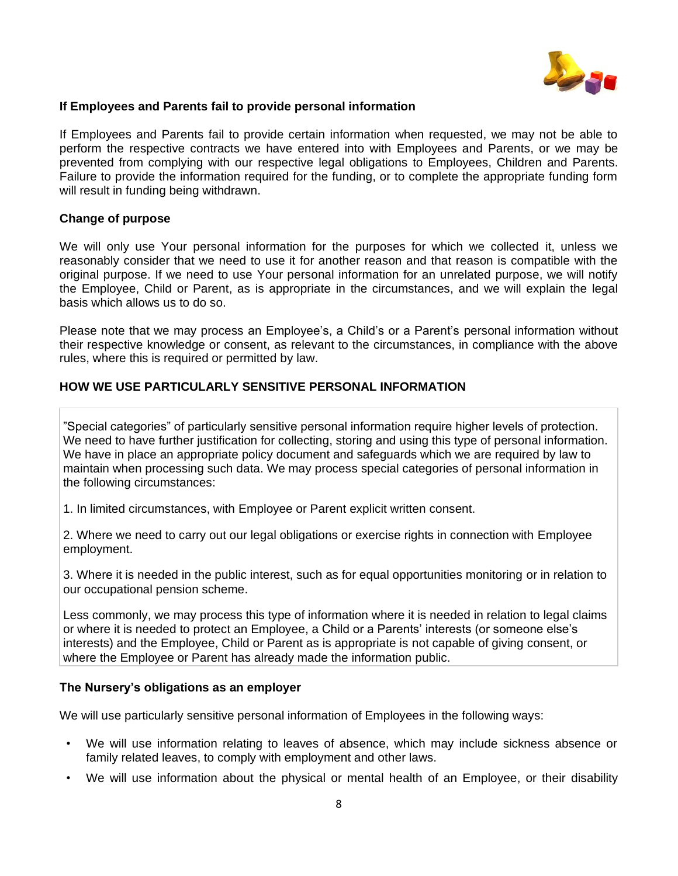

## **If Employees and Parents fail to provide personal information**

If Employees and Parents fail to provide certain information when requested, we may not be able to perform the respective contracts we have entered into with Employees and Parents, or we may be prevented from complying with our respective legal obligations to Employees, Children and Parents. Failure to provide the information required for the funding, or to complete the appropriate funding form will result in funding being withdrawn.

## **Change of purpose**

We will only use Your personal information for the purposes for which we collected it, unless we reasonably consider that we need to use it for another reason and that reason is compatible with the original purpose. If we need to use Your personal information for an unrelated purpose, we will notify the Employee, Child or Parent, as is appropriate in the circumstances, and we will explain the legal basis which allows us to do so.

Please note that we may process an Employee's, a Child's or a Parent's personal information without their respective knowledge or consent, as relevant to the circumstances, in compliance with the above rules, where this is required or permitted by law.

### **HOW WE USE PARTICULARLY SENSITIVE PERSONAL INFORMATION**

"Special categories" of particularly sensitive personal information require higher levels of protection. We need to have further justification for collecting, storing and using this type of personal information. We have in place an appropriate policy document and safeguards which we are required by law to maintain when processing such data. We may process special categories of personal information in the following circumstances:

1. In limited circumstances, with Employee or Parent explicit written consent.

2. Where we need to carry out our legal obligations or exercise rights in connection with Employee employment.

3. Where it is needed in the public interest, such as for equal opportunities monitoring or in relation to our occupational pension scheme.

Less commonly, we may process this type of information where it is needed in relation to legal claims or where it is needed to protect an Employee, a Child or a Parents' interests (or someone else's interests) and the Employee, Child or Parent as is appropriate is not capable of giving consent, or where the Employee or Parent has already made the information public.

### **The Nursery's obligations as an employer**

We will use particularly sensitive personal information of Employees in the following ways:

- We will use information relating to leaves of absence, which may include sickness absence or family related leaves, to comply with employment and other laws.
- We will use information about the physical or mental health of an Employee, or their disability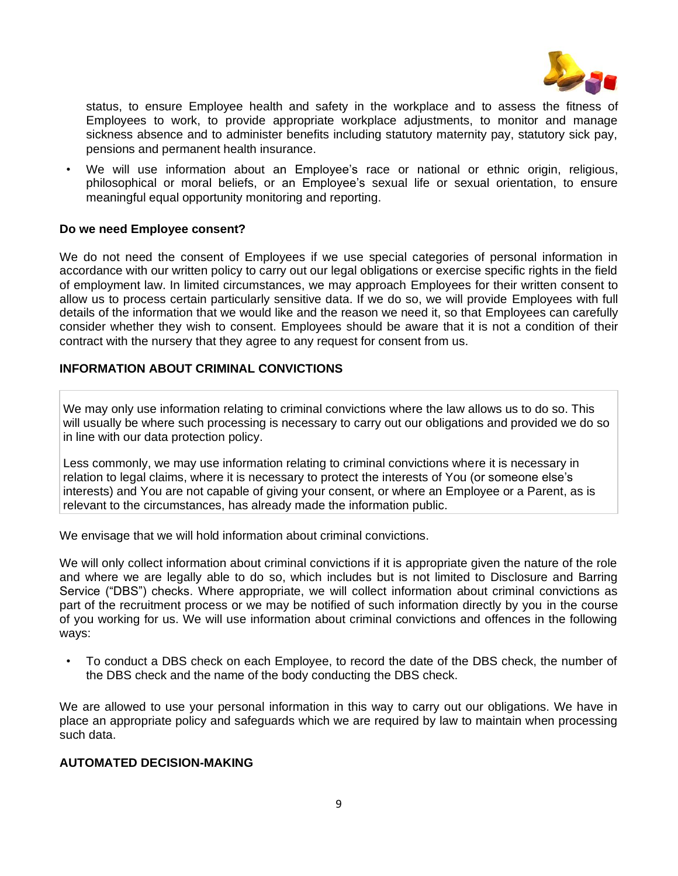

status, to ensure Employee health and safety in the workplace and to assess the fitness of Employees to work, to provide appropriate workplace adjustments, to monitor and manage sickness absence and to administer benefits including statutory maternity pay, statutory sick pay, pensions and permanent health insurance.

• We will use information about an Employee's race or national or ethnic origin, religious, philosophical or moral beliefs, or an Employee's sexual life or sexual orientation, to ensure meaningful equal opportunity monitoring and reporting.

### **Do we need Employee consent?**

We do not need the consent of Employees if we use special categories of personal information in accordance with our written policy to carry out our legal obligations or exercise specific rights in the field of employment law. In limited circumstances, we may approach Employees for their written consent to allow us to process certain particularly sensitive data. If we do so, we will provide Employees with full details of the information that we would like and the reason we need it, so that Employees can carefully consider whether they wish to consent. Employees should be aware that it is not a condition of their contract with the nursery that they agree to any request for consent from us.

## **INFORMATION ABOUT CRIMINAL CONVICTIONS**

We may only use information relating to criminal convictions where the law allows us to do so. This will usually be where such processing is necessary to carry out our obligations and provided we do so in line with our data protection policy.

Less commonly, we may use information relating to criminal convictions where it is necessary in relation to legal claims, where it is necessary to protect the interests of You (or someone else's interests) and You are not capable of giving your consent, or where an Employee or a Parent, as is relevant to the circumstances, has already made the information public.

We envisage that we will hold information about criminal convictions.

We will only collect information about criminal convictions if it is appropriate given the nature of the role and where we are legally able to do so, which includes but is not limited to Disclosure and Barring Service ("DBS") checks. Where appropriate, we will collect information about criminal convictions as part of the recruitment process or we may be notified of such information directly by you in the course of you working for us. We will use information about criminal convictions and offences in the following ways:

• To conduct a DBS check on each Employee, to record the date of the DBS check, the number of the DBS check and the name of the body conducting the DBS check.

We are allowed to use your personal information in this way to carry out our obligations. We have in place an appropriate policy and safeguards which we are required by law to maintain when processing such data.

### **AUTOMATED DECISION-MAKING**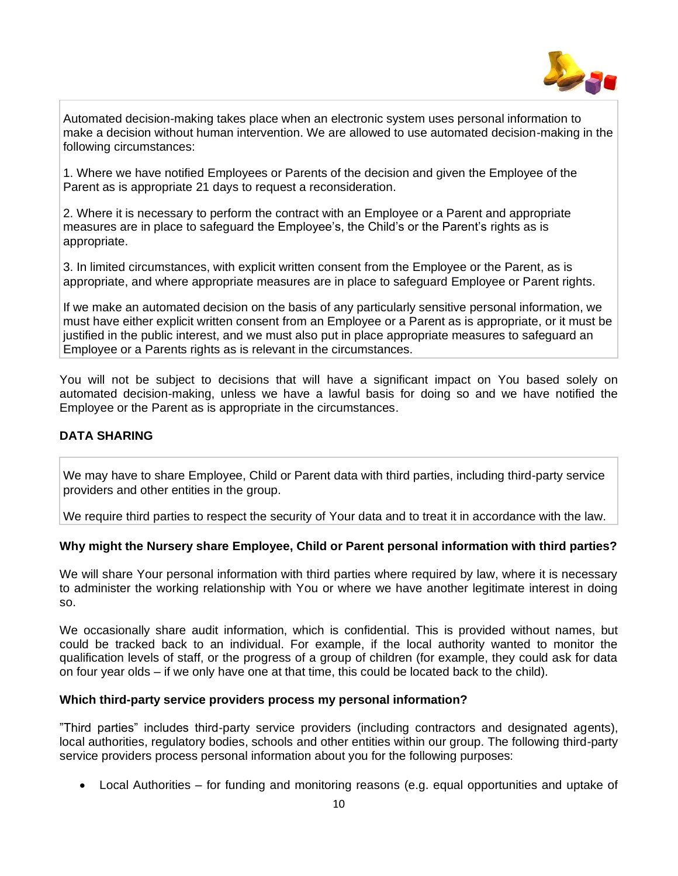

Automated decision-making takes place when an electronic system uses personal information to make a decision without human intervention. We are allowed to use automated decision-making in the following circumstances:

1. Where we have notified Employees or Parents of the decision and given the Employee of the Parent as is appropriate 21 days to request a reconsideration.

2. Where it is necessary to perform the contract with an Employee or a Parent and appropriate measures are in place to safeguard the Employee's, the Child's or the Parent's rights as is appropriate.

3. In limited circumstances, with explicit written consent from the Employee or the Parent, as is appropriate, and where appropriate measures are in place to safeguard Employee or Parent rights.

If we make an automated decision on the basis of any particularly sensitive personal information, we must have either explicit written consent from an Employee or a Parent as is appropriate, or it must be justified in the public interest, and we must also put in place appropriate measures to safeguard an Employee or a Parents rights as is relevant in the circumstances.

You will not be subject to decisions that will have a significant impact on You based solely on automated decision-making, unless we have a lawful basis for doing so and we have notified the Employee or the Parent as is appropriate in the circumstances.

## **DATA SHARING**

We may have to share Employee, Child or Parent data with third parties, including third-party service providers and other entities in the group.

We require third parties to respect the security of Your data and to treat it in accordance with the law.

## **Why might the Nursery share Employee, Child or Parent personal information with third parties?**

We will share Your personal information with third parties where required by law, where it is necessary to administer the working relationship with You or where we have another legitimate interest in doing so.

We occasionally share audit information, which is confidential. This is provided without names, but could be tracked back to an individual. For example, if the local authority wanted to monitor the qualification levels of staff, or the progress of a group of children (for example, they could ask for data on four year olds – if we only have one at that time, this could be located back to the child).

### **Which third-party service providers process my personal information?**

"Third parties" includes third-party service providers (including contractors and designated agents), local authorities, regulatory bodies, schools and other entities within our group. The following third-party service providers process personal information about you for the following purposes:

• Local Authorities – for funding and monitoring reasons (e.g. equal opportunities and uptake of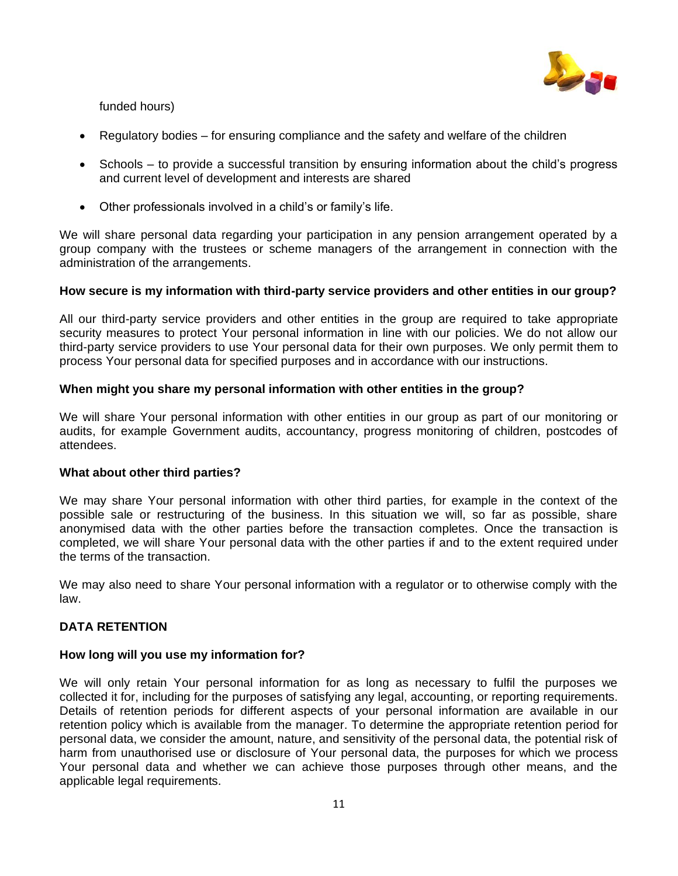

funded hours)

- Regulatory bodies for ensuring compliance and the safety and welfare of the children
- Schools to provide a successful transition by ensuring information about the child's progress and current level of development and interests are shared
- Other professionals involved in a child's or family's life.

We will share personal data regarding your participation in any pension arrangement operated by a group company with the trustees or scheme managers of the arrangement in connection with the administration of the arrangements.

### **How secure is my information with third-party service providers and other entities in our group?**

All our third-party service providers and other entities in the group are required to take appropriate security measures to protect Your personal information in line with our policies. We do not allow our third-party service providers to use Your personal data for their own purposes. We only permit them to process Your personal data for specified purposes and in accordance with our instructions.

### **When might you share my personal information with other entities in the group?**

We will share Your personal information with other entities in our group as part of our monitoring or audits, for example Government audits, accountancy, progress monitoring of children, postcodes of attendees.

### **What about other third parties?**

We may share Your personal information with other third parties, for example in the context of the possible sale or restructuring of the business. In this situation we will, so far as possible, share anonymised data with the other parties before the transaction completes. Once the transaction is completed, we will share Your personal data with the other parties if and to the extent required under the terms of the transaction.

We may also need to share Your personal information with a regulator or to otherwise comply with the law.

## **DATA RETENTION**

### **How long will you use my information for?**

We will only retain Your personal information for as long as necessary to fulfil the purposes we collected it for, including for the purposes of satisfying any legal, accounting, or reporting requirements. Details of retention periods for different aspects of your personal information are available in our retention policy which is available from the manager. To determine the appropriate retention period for personal data, we consider the amount, nature, and sensitivity of the personal data, the potential risk of harm from unauthorised use or disclosure of Your personal data, the purposes for which we process Your personal data and whether we can achieve those purposes through other means, and the applicable legal requirements.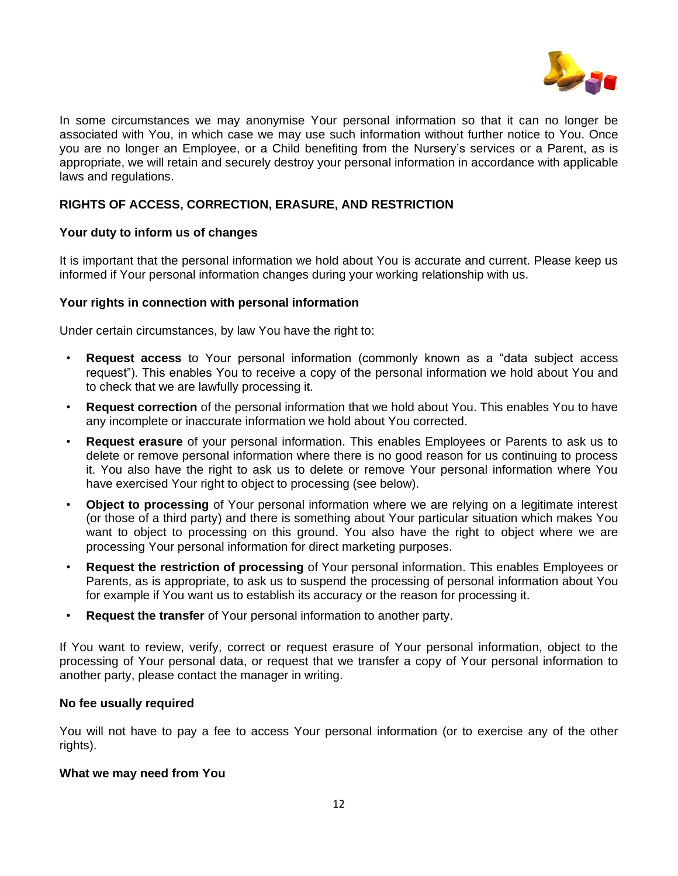

In some circumstances we may anonymise Your personal information so that it can no longer be associated with You, in which case we may use such information without further notice to You. Once you are no longer an Employee, or a Child benefiting from the Nursery's services or a Parent, as is appropriate, we will retain and securely destroy your personal information in accordance with applicable laws and regulations.

## **RIGHTS OF ACCESS, CORRECTION, ERASURE, AND RESTRICTION**

### **Your duty to inform us of changes**

It is important that the personal information we hold about You is accurate and current. Please keep us informed if Your personal information changes during your working relationship with us.

### **Your rights in connection with personal information**

Under certain circumstances, by law You have the right to:

- **Request access** to Your personal information (commonly known as a "data subject access request"). This enables You to receive a copy of the personal information we hold about You and to check that we are lawfully processing it.
- **Request correction** of the personal information that we hold about You. This enables You to have any incomplete or inaccurate information we hold about You corrected.
- **Request erasure** of your personal information. This enables Employees or Parents to ask us to delete or remove personal information where there is no good reason for us continuing to process it. You also have the right to ask us to delete or remove Your personal information where You have exercised Your right to object to processing (see below).
- **Object to processing** of Your personal information where we are relying on a legitimate interest (or those of a third party) and there is something about Your particular situation which makes You want to object to processing on this ground. You also have the right to object where we are processing Your personal information for direct marketing purposes.
- **Request the restriction of processing** of Your personal information. This enables Employees or Parents, as is appropriate, to ask us to suspend the processing of personal information about You for example if You want us to establish its accuracy or the reason for processing it.
- **Request the transfer** of Your personal information to another party.

If You want to review, verify, correct or request erasure of Your personal information, object to the processing of Your personal data, or request that we transfer a copy of Your personal information to another party, please contact the manager in writing.

#### **No fee usually required**

You will not have to pay a fee to access Your personal information (or to exercise any of the other rights).

#### **What we may need from You**